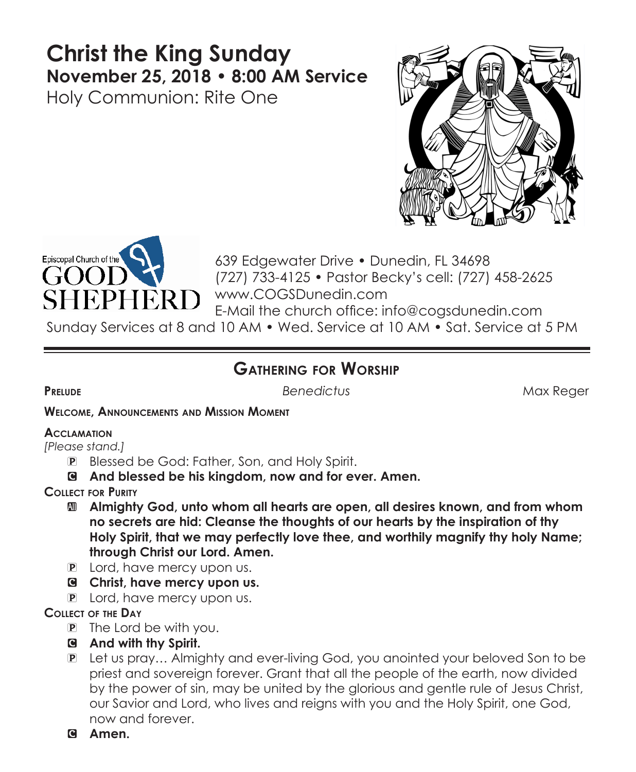# **Christ the King Sunday November 25, 2018 • 8:00 AM Service**

Holy Communion: Rite One





639 Edgewater Drive • Dunedin, FL 34698 (727) 733-4125 • Pastor Becky's cell: (727) 458-2625 www.COGSDunedin.com E-Mail the church office: info@cogsdunedin.com Sunday Services at 8 and 10 AM • Wed. Service at 10 AM • Sat. Service at 5 PM

# **Gathering for Worship**

**Prelude** *Benedictus* **Benedictus Max Reger** 

#### **Welcome, Announcements and Mission Moment**

#### **Acclamation**

*[Please stand.]* 

- P Blessed be God: Father, Son, and Holy Spirit.
- C **And blessed be his kingdom, now and for ever. Amen.**

**Collect for Purity**

- a **Almighty God, unto whom all hearts are open, all desires known, and from whom no secrets are hid: Cleanse the thoughts of our hearts by the inspiration of thy Holy Spirit, that we may perfectly love thee, and worthily magnify thy holy Name; through Christ our Lord. Amen.**
- P Lord, have mercy upon us.
- C **Christ, have mercy upon us.**
- P Lord, have mercy upon us.

### **Collect of the Day**

- P The Lord be with you.
- C **And with thy Spirit.**
- P Let us pray… Almighty and ever-living God, you anointed your beloved Son to be priest and sovereign forever. Grant that all the people of the earth, now divided by the power of sin, may be united by the glorious and gentle rule of Jesus Christ, our Savior and Lord, who lives and reigns with you and the Holy Spirit, one God, now and forever.
- C **Amen.**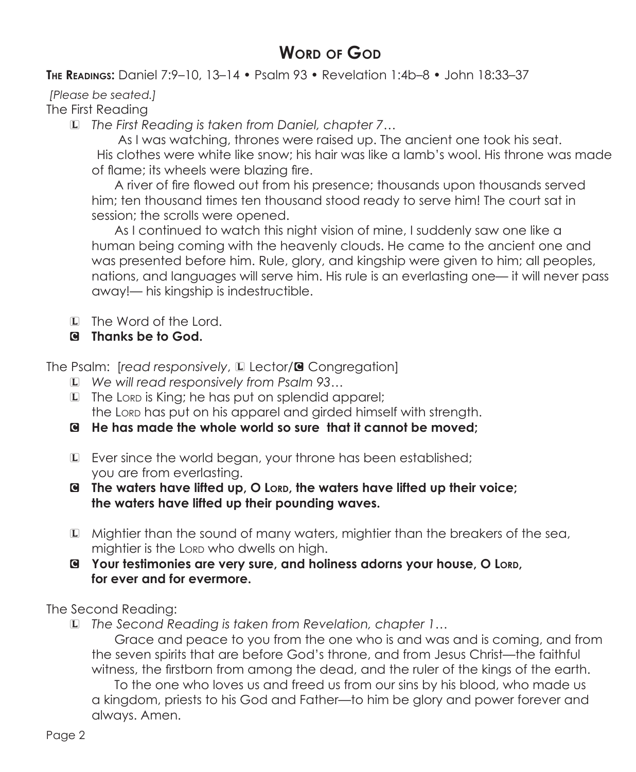# **WORD OF GOD**

**The Readings:** Daniel 7:9–10, 13–14 • Psalm 93 • Revelation 1:4b–8 • John 18:33–37

*[Please be seated.]*

The First Reading

L *The First Reading is taken from Daniel, chapter 7…*

 As I was watching, thrones were raised up. The ancient one took his seat. His clothes were white like snow; his hair was like a lamb's wool. His throne was made of flame; its wheels were blazing fire.

A river of fire flowed out from his presence; thousands upon thousands served him; ten thousand times ten thousand stood ready to serve him! The court sat in session; the scrolls were opened.

 As I continued to watch this night vision of mine, I suddenly saw one like a human being coming with the heavenly clouds. He came to the ancient one and was presented before him. Rule, glory, and kingship were given to him; all peoples, nations, and languages will serve him. His rule is an everlasting one— it will never pass away!— his kingship is indestructible.

- L The Word of the Lord.
- C **Thanks be to God.**

The Psalm: [*read responsively*, La Lector/<sup>8</sup> Congregation]

- L *We will read responsively from Psalm 93…*
- L The Lord is King; he has put on splendid apparel; the Lord has put on his apparel and girded himself with strength.
- C **He has made the whole world so sure that it cannot be moved;**
- L Ever since the world began, your throne has been established; you are from everlasting.
- C **The waters have lifted up, O Lord, the waters have lifted up their voice; the waters have lifted up their pounding waves.**
- L Mightier than the sound of many waters, mightier than the breakers of the sea, mightier is the Lord who dwells on high.
- C **Your testimonies are very sure, and holiness adorns your house, O Lord, for ever and for evermore.**

The Second Reading:

L *The Second Reading is taken from Revelation, chapter 1…*

 Grace and peace to you from the one who is and was and is coming, and from the seven spirits that are before God's throne, and from Jesus Christ—the faithful witness, the firstborn from among the dead, and the ruler of the kings of the earth.

 To the one who loves us and freed us from our sins by his blood, who made us a kingdom, priests to his God and Father—to him be glory and power forever and always. Amen.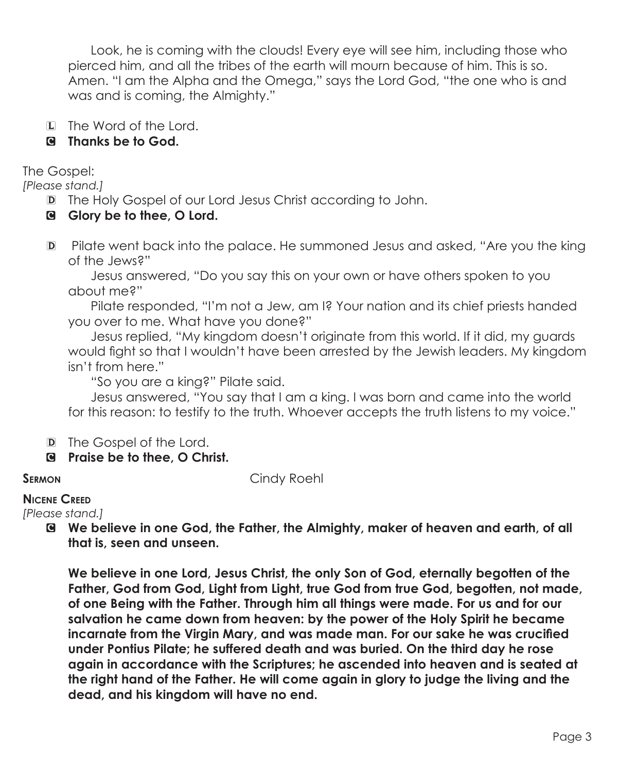Look, he is coming with the clouds! Every eye will see him, including those who pierced him, and all the tribes of the earth will mourn because of him. This is so. Amen. "I am the Alpha and the Omega," says the Lord God, "the one who is and was and is coming, the Almighty."

L The Word of the Lord.

#### C **Thanks be to God.**

The Gospel:

*[Please stand.]*

- D The Holy Gospel of our Lord Jesus Christ according to John.
- C **Glory be to thee, O Lord.**
- D Pilate went back into the palace. He summoned Jesus and asked, "Are you the king of the Jews?"

 Jesus answered, "Do you say this on your own or have others spoken to you about me?"

 Pilate responded, "I'm not a Jew, am I? Your nation and its chief priests handed you over to me. What have you done?"

 Jesus replied, "My kingdom doesn't originate from this world. If it did, my guards would fight so that I wouldn't have been arrested by the Jewish leaders. My kingdom isn't from here."

"So you are a king?" Pilate said.

 Jesus answered, "You say that I am a king. I was born and came into the world for this reason: to testify to the truth. Whoever accepts the truth listens to my voice."

- D The Gospel of the Lord.
- C **Praise be to thee, O Christ.**

**SERMON Cindy Roehl** 

### **Nicene Creed**

*[Please stand.]*

C **We believe in one God, the Father, the Almighty, maker of heaven and earth, of all that is, seen and unseen.** 

 **We believe in one Lord, Jesus Christ, the only Son of God, eternally begotten of the Father, God from God, Light from Light, true God from true God, begotten, not made, of one Being with the Father. Through him all things were made. For us and for our salvation he came down from heaven: by the power of the Holy Spirit he became incarnate from the Virgin Mary, and was made man. For our sake he was crucified under Pontius Pilate; he suffered death and was buried. On the third day he rose again in accordance with the Scriptures; he ascended into heaven and is seated at the right hand of the Father. He will come again in glory to judge the living and the dead, and his kingdom will have no end.**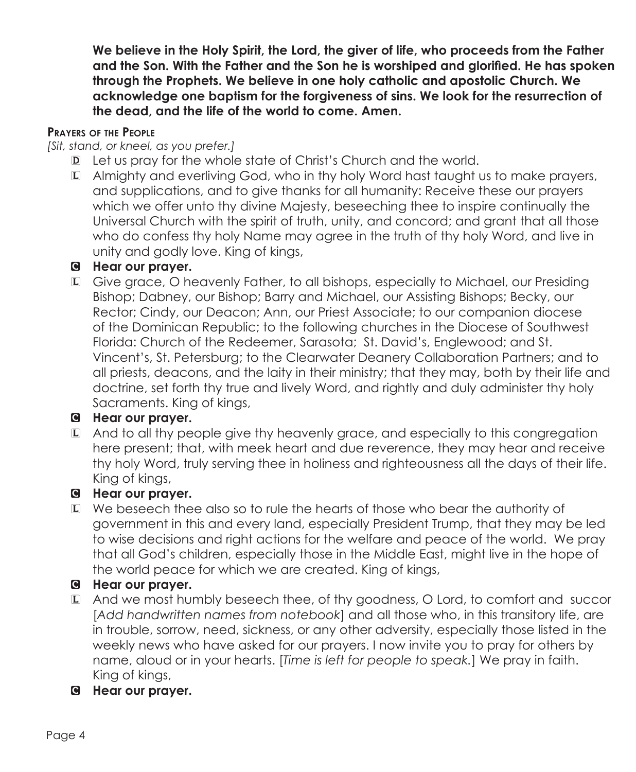**We believe in the Holy Spirit, the Lord, the giver of life, who proceeds from the Father and the Son. With the Father and the Son he is worshiped and glorified. He has spoken through the Prophets. We believe in one holy catholic and apostolic Church. We acknowledge one baptism for the forgiveness of sins. We look for the resurrection of the dead, and the life of the world to come. Amen.**

#### **Prayers of the People**

*[Sit, stand, or kneel, as you prefer.]*

- D Let us pray for the whole state of Christ's Church and the world.
- L Almighty and everliving God, who in thy holy Word hast taught us to make prayers, and supplications, and to give thanks for all humanity: Receive these our prayers which we offer unto thy divine Majesty, beseeching thee to inspire continually the Universal Church with the spirit of truth, unity, and concord; and grant that all those who do confess thy holy Name may agree in the truth of thy holy Word, and live in unity and godly love. King of kings,

#### C **Hear our prayer.**

L Give grace, O heavenly Father, to all bishops, especially to Michael, our Presiding Bishop; Dabney, our Bishop; Barry and Michael, our Assisting Bishops; Becky, our Rector; Cindy, our Deacon; Ann, our Priest Associate; to our companion diocese of the Dominican Republic; to the following churches in the Diocese of Southwest Florida: Church of the Redeemer, Sarasota; St. David's, Englewood; and St. Vincent's, St. Petersburg; to the Clearwater Deanery Collaboration Partners; and to all priests, deacons, and the laity in their ministry; that they may, both by their life and doctrine, set forth thy true and lively Word, and rightly and duly administer thy holy Sacraments. King of kings,

#### C **Hear our prayer.**

L And to all thy people give thy heavenly grace, and especially to this congregation here present; that, with meek heart and due reverence, they may hear and receive thy holy Word, truly serving thee in holiness and righteousness all the days of their life. King of kings,

#### C **Hear our prayer.**

L We beseech thee also so to rule the hearts of those who bear the authority of government in this and every land, especially President Trump, that they may be led to wise decisions and right actions for the welfare and peace of the world. We pray that all God's children, especially those in the Middle East, might live in the hope of the world peace for which we are created. King of kings,

#### C **Hear our prayer.**

- L And we most humbly beseech thee, of thy goodness, O Lord, to comfort and succor [*Add handwritten names from notebook*] and all those who, in this transitory life, are in trouble, sorrow, need, sickness, or any other adversity, especially those listed in the weekly news who have asked for our prayers. I now invite you to pray for others by name, aloud or in your hearts. [*Time is left for people to speak.*] We pray in faith. King of kings,
- C **Hear our prayer.**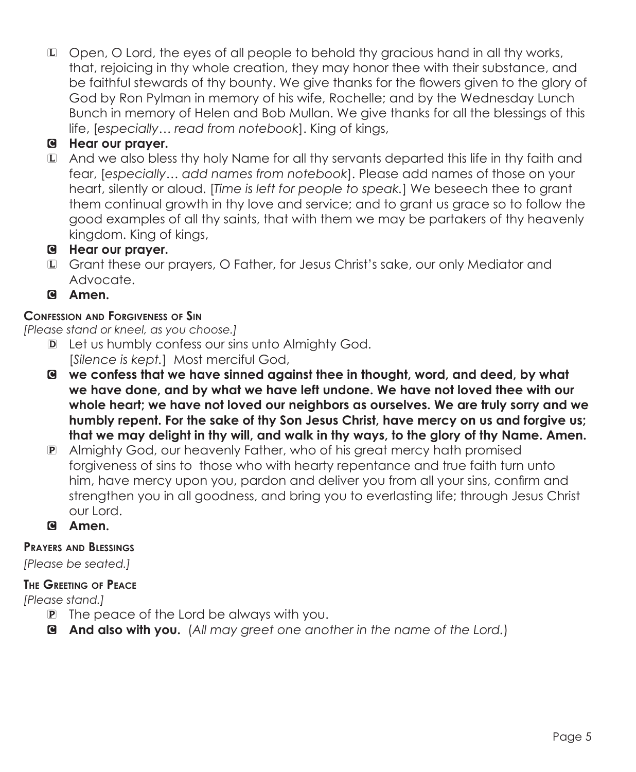L Open, O Lord, the eyes of all people to behold thy gracious hand in all thy works, that, rejoicing in thy whole creation, they may honor thee with their substance, and be faithful stewards of thy bounty. We give thanks for the flowers given to the glory of God by Ron Pylman in memory of his wife, Rochelle; and by the Wednesday Lunch Bunch in memory of Helen and Bob Mullan. We give thanks for all the blessings of this life, [*especially… read from notebook*]. King of kings,

#### C **Hear our prayer.**

L And we also bless thy holy Name for all thy servants departed this life in thy faith and fear, [*especially… add names from notebook*]. Please add names of those on your heart, silently or aloud. [*Time is left for people to speak.*] We beseech thee to grant them continual growth in thy love and service; and to grant us grace so to follow the good examples of all thy saints, that with them we may be partakers of thy heavenly kingdom. King of kings,

#### C **Hear our prayer.**

- L Grant these our prayers, O Father, for Jesus Christ's sake, our only Mediator and Advocate.
- C **Amen.**

#### **Confession and Forgiveness of Sin**

*[Please stand or kneel, as you choose.]*

- D Let us humbly confess our sins unto Almighty God. [*Silence is kept.*] Most merciful God,
- C **we confess that we have sinned against thee in thought, word, and deed, by what we have done, and by what we have left undone. We have not loved thee with our whole heart; we have not loved our neighbors as ourselves. We are truly sorry and we humbly repent. For the sake of thy Son Jesus Christ, have mercy on us and forgive us; that we may delight in thy will, and walk in thy ways, to the glory of thy Name. Amen.**
- P Almighty God, our heavenly Father, who of his great mercy hath promised forgiveness of sins to those who with hearty repentance and true faith turn unto him, have mercy upon you, pardon and deliver you from all your sins, confirm and strengthen you in all goodness, and bring you to everlasting life; through Jesus Christ our Lord.
- C **Amen.**

#### **Prayers and Blessings**

*[Please be seated.]*

#### **The Greeting of Peace**

*[Please stand.]*

- P The peace of the Lord be always with you.
- C **And also with you.** (*All may greet one another in the name of the Lord.*)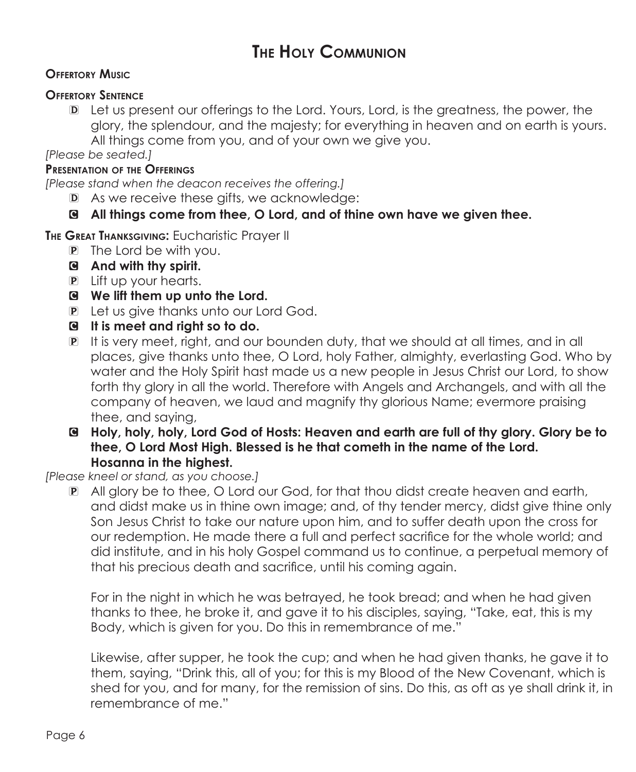# **The Holy Communion**

#### **Offertory Music**

#### **Offertory Sentence**

D Let us present our offerings to the Lord. Yours, Lord, is the greatness, the power, the glory, the splendour, and the majesty; for everything in heaven and on earth is yours. All things come from you, and of your own we give you.

*[Please be seated.]*

#### **Presentation of the Offerings**

*[Please stand when the deacon receives the offering.]*

D As we receive these gifts, we acknowledge:

#### C **All things come from thee, O Lord, and of thine own have we given thee.**

**The Great Thanksgiving:** Eucharistic Prayer II

- P The Lord be with you.
- C **And with thy spirit.**
- P Lift up your hearts.
- C **We lift them up unto the Lord.**
- P Let us give thanks unto our Lord God.
- C **It is meet and right so to do.**
- P It is very meet, right, and our bounden duty, that we should at all times, and in all places, give thanks unto thee, O Lord, holy Father, almighty, everlasting God. Who by water and the Holy Spirit hast made us a new people in Jesus Christ our Lord, to show forth thy glory in all the world. Therefore with Angels and Archangels, and with all the company of heaven, we laud and magnify thy glorious Name; evermore praising thee, and saying,
- C **Holy, holy, holy, Lord God of Hosts: Heaven and earth are full of thy glory. Glory be to thee, O Lord Most High. Blessed is he that cometh in the name of the Lord. Hosanna in the highest.**

*[Please kneel or stand, as you choose.]*

P All glory be to thee, O Lord our God, for that thou didst create heaven and earth, and didst make us in thine own image; and, of thy tender mercy, didst give thine only Son Jesus Christ to take our nature upon him, and to suffer death upon the cross for our redemption. He made there a full and perfect sacrifice for the whole world; and did institute, and in his holy Gospel command us to continue, a perpetual memory of that his precious death and sacrifice, until his coming again.

For in the night in which he was betrayed, he took bread; and when he had given thanks to thee, he broke it, and gave it to his disciples, saying, "Take, eat, this is my Body, which is given for you. Do this in remembrance of me."

Likewise, after supper, he took the cup; and when he had given thanks, he gave it to them, saying, "Drink this, all of you; for this is my Blood of the New Covenant, which is shed for you, and for many, for the remission of sins. Do this, as oft as ye shall drink it, in remembrance of me."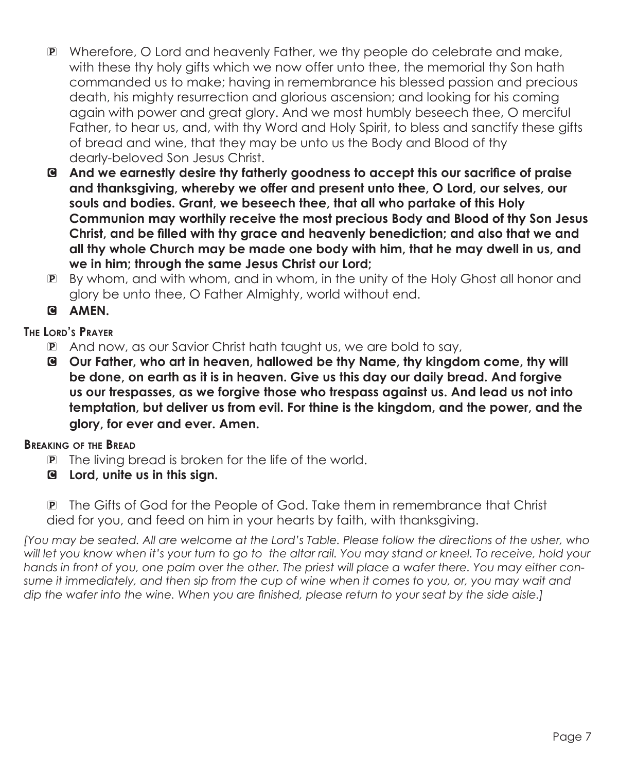- P Wherefore, O Lord and heavenly Father, we thy people do celebrate and make, with these thy holy gifts which we now offer unto thee, the memorial thy Son hath commanded us to make; having in remembrance his blessed passion and precious death, his mighty resurrection and glorious ascension; and looking for his coming again with power and great glory. And we most humbly beseech thee, O merciful Father, to hear us, and, with thy Word and Holy Spirit, to bless and sanctify these gifts of bread and wine, that they may be unto us the Body and Blood of thy dearly-beloved Son Jesus Christ.
- C **And we earnestly desire thy fatherly goodness to accept this our sacrifice of praise and thanksgiving, whereby we offer and present unto thee, O Lord, our selves, our souls and bodies. Grant, we beseech thee, that all who partake of this Holy Communion may worthily receive the most precious Body and Blood of thy Son Jesus Christ, and be filled with thy grace and heavenly benediction; and also that we and all thy whole Church may be made one body with him, that he may dwell in us, and we in him; through the same Jesus Christ our Lord;**
- P By whom, and with whom, and in whom, in the unity of the Holy Ghost all honor and glory be unto thee, O Father Almighty, world without end.
- C **AMEN.**

**The Lord's Prayer**

- P And now, as our Savior Christ hath taught us, we are bold to say,
- C **Our Father, who art in heaven, hallowed be thy Name, thy kingdom come, thy will be done, on earth as it is in heaven. Give us this day our daily bread. And forgive us our trespasses, as we forgive those who trespass against us. And lead us not into temptation, but deliver us from evil. For thine is the kingdom, and the power, and the glory, for ever and ever. Amen.**

### **Breaking of the Bread**

- P The living bread is broken for the life of the world.
- C **Lord, unite us in this sign.**

P The Gifts of God for the People of God. Take them in remembrance that Christ died for you, and feed on him in your hearts by faith, with thanksgiving.

*[You may be seated. All are welcome at the Lord's Table. Please follow the directions of the usher, who*  will let you know when it's your turn to go to the altar rail. You may stand or kneel. To receive, hold your *hands in front of you, one palm over the other. The priest will place a wafer there. You may either consume it immediately, and then sip from the cup of wine when it comes to you, or, you may wait and dip the wafer into the wine. When you are finished, please return to your seat by the side aisle.]*